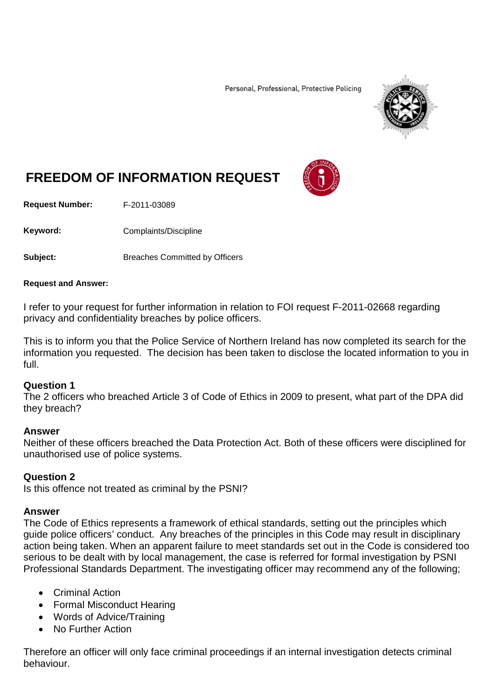Personal, Professional, Protective Policing



# **FREEDOM OF INFORMATION REQUEST**

**Request Number:** F-2011-03089

Keyword: Complaints/Discipline

**Subject:** Breaches Committed by Officers

#### **Request and Answer:**

I refer to your request for further information in relation to FOI request F-2011-02668 regarding privacy and confidentiality breaches by police officers.

This is to inform you that the Police Service of Northern Ireland has now completed its search for the information you requested. The decision has been taken to disclose the located information to you in full.

## **Question 1**

The 2 officers who breached Article 3 of Code of Ethics in 2009 to present, what part of the DPA did they breach?

## **Answer**

Neither of these officers breached the Data Protection Act. Both of these officers were disciplined for unauthorised use of police systems.

## **Question 2**

Is this offence not treated as criminal by the PSNI?

## **Answer**

The Code of Ethics represents a framework of ethical standards, setting out the principles which guide police officers' conduct. Any breaches of the principles in this Code may result in disciplinary action being taken. When an apparent failure to meet standards set out in the Code is considered too serious to be dealt with by local management, the case is referred for formal investigation by PSNI Professional Standards Department. The investigating officer may recommend any of the following;

- Criminal Action
- Formal Misconduct Hearing
- Words of Advice/Training
- No Further Action

Therefore an officer will only face criminal proceedings if an internal investigation detects criminal behaviour.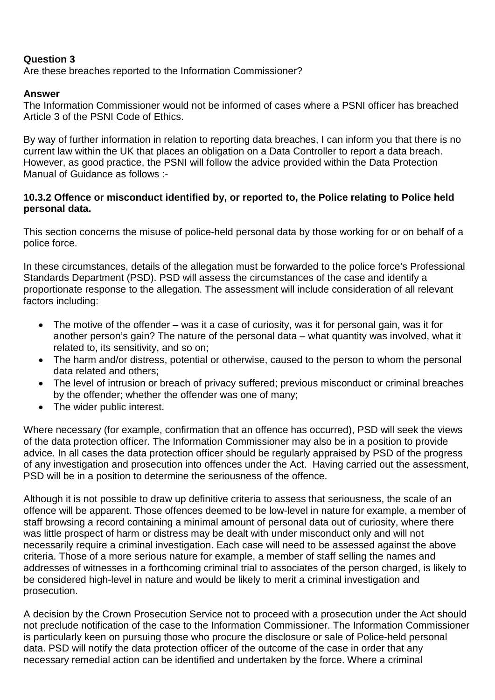# **Question 3**

Are these breaches reported to the Information Commissioner?

# **Answer**

The Information Commissioner would not be informed of cases where a PSNI officer has breached Article 3 of the PSNI Code of Ethics.

By way of further information in relation to reporting data breaches, I can inform you that there is no current law within the UK that places an obligation on a Data Controller to report a data breach. However, as good practice, the PSNI will follow the advice provided within the Data Protection Manual of Guidance as follows :-

## **10.3.2 Offence or misconduct identified by, or reported to, the Police relating to Police held personal data.**

This section concerns the misuse of police-held personal data by those working for or on behalf of a police force.

In these circumstances, details of the allegation must be forwarded to the police force's Professional Standards Department (PSD). PSD will assess the circumstances of the case and identify a proportionate response to the allegation. The assessment will include consideration of all relevant factors including:

- The motive of the offender was it a case of curiosity, was it for personal gain, was it for another person's gain? The nature of the personal data – what quantity was involved, what it related to, its sensitivity, and so on;
- The harm and/or distress, potential or otherwise, caused to the person to whom the personal data related and others;
- The level of intrusion or breach of privacy suffered; previous misconduct or criminal breaches by the offender; whether the offender was one of many;
- The wider public interest.

Where necessary (for example, confirmation that an offence has occurred), PSD will seek the views of the data protection officer. The Information Commissioner may also be in a position to provide advice. In all cases the data protection officer should be regularly appraised by PSD of the progress of any investigation and prosecution into offences under the Act. Having carried out the assessment, PSD will be in a position to determine the seriousness of the offence.

Although it is not possible to draw up definitive criteria to assess that seriousness, the scale of an offence will be apparent. Those offences deemed to be low-level in nature for example, a member of staff browsing a record containing a minimal amount of personal data out of curiosity, where there was little prospect of harm or distress may be dealt with under misconduct only and will not necessarily require a criminal investigation. Each case will need to be assessed against the above criteria. Those of a more serious nature for example, a member of staff selling the names and addresses of witnesses in a forthcoming criminal trial to associates of the person charged, is likely to be considered high-level in nature and would be likely to merit a criminal investigation and prosecution.

A decision by the Crown Prosecution Service not to proceed with a prosecution under the Act should not preclude notification of the case to the Information Commissioner. The Information Commissioner is particularly keen on pursuing those who procure the disclosure or sale of Police-held personal data. PSD will notify the data protection officer of the outcome of the case in order that any necessary remedial action can be identified and undertaken by the force. Where a criminal